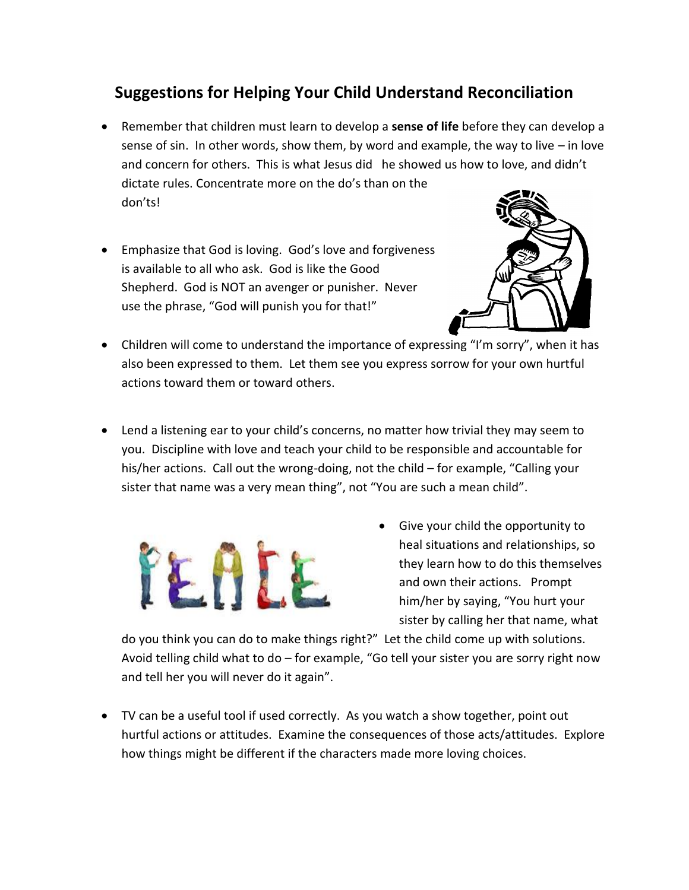## **Suggestions for Helping Your Child Understand Reconciliation**

- Remember that children must learn to develop a **sense of life** before they can develop a sense of sin. In other words, show them, by word and example, the way to live – in love and concern for others. This is what Jesus did he showed us how to love, and didn't dictate rules. Concentrate more on the do's than on the don'ts!
- Emphasize that God is loving. God's love and forgiveness is available to all who ask. God is like the Good Shepherd. God is NOT an avenger or punisher. Never use the phrase, "God will punish you for that!"



- Children will come to understand the importance of expressing "I'm sorry", when it has also been expressed to them. Let them see you express sorrow for your own hurtful actions toward them or toward others.
- Lend a listening ear to your child's concerns, no matter how trivial they may seem to you. Discipline with love and teach your child to be responsible and accountable for his/her actions. Call out the wrong-doing, not the child – for example, "Calling your sister that name was a very mean thing", not "You are such a mean child".



 Give your child the opportunity to heal situations and relationships, so they learn how to do this themselves and own their actions. Prompt him/her by saying, "You hurt your sister by calling her that name, what

do you think you can do to make things right?" Let the child come up with solutions. Avoid telling child what to do – for example, "Go tell your sister you are sorry right now and tell her you will never do it again".

 TV can be a useful tool if used correctly. As you watch a show together, point out hurtful actions or attitudes. Examine the consequences of those acts/attitudes. Explore how things might be different if the characters made more loving choices.